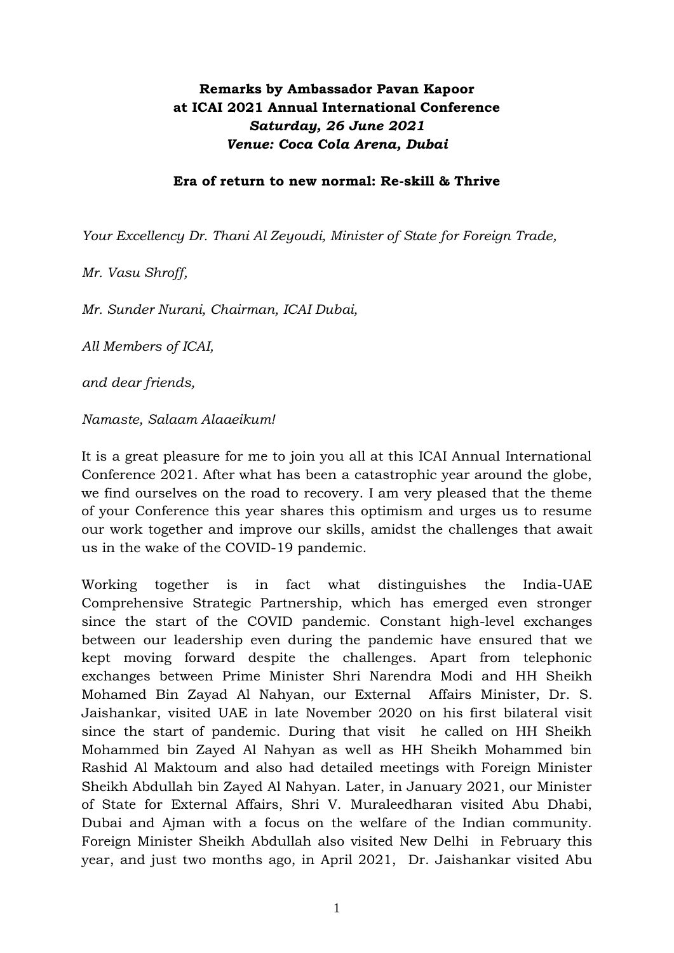## **Remarks by Ambassador Pavan Kapoor at ICAI 2021 Annual International Conference** *Saturday, 26 June 2021 Venue: Coca Cola Arena, Dubai*

## **Era of return to new normal: Re-skill & Thrive**

*Your Excellency Dr. Thani Al Zeyoudi, Minister of State for Foreign Trade,*

*Mr. Vasu Shroff,*

*Mr. Sunder Nurani, Chairman, ICAI Dubai,* 

*All Members of ICAI,*

*and dear friends,*

*Namaste, Salaam Alaaeikum!*

It is a great pleasure for me to join you all at this ICAI Annual International Conference 2021. After what has been a catastrophic year around the globe, we find ourselves on the road to recovery. I am very pleased that the theme of your Conference this year shares this optimism and urges us to resume our work together and improve our skills, amidst the challenges that await us in the wake of the COVID-19 pandemic.

Working together is in fact what distinguishes the India-UAE Comprehensive Strategic Partnership, which has emerged even stronger since the start of the COVID pandemic. Constant high-level exchanges between our leadership even during the pandemic have ensured that we kept moving forward despite the challenges. Apart from telephonic exchanges between Prime Minister Shri Narendra Modi and HH Sheikh Mohamed Bin Zayad Al Nahyan, our External Affairs Minister, Dr. S. Jaishankar, visited UAE in late November 2020 on his first bilateral visit since the start of pandemic. During that visit he called on HH Sheikh Mohammed bin Zayed Al Nahyan as well as HH Sheikh Mohammed bin Rashid Al Maktoum and also had detailed meetings with Foreign Minister Sheikh Abdullah bin Zayed Al Nahyan. Later, in January 2021, our Minister of State for External Affairs, Shri V. Muraleedharan visited Abu Dhabi, Dubai and Ajman with a focus on the welfare of the Indian community. Foreign Minister Sheikh Abdullah also visited New Delhi in February this year, and just two months ago, in April 2021, Dr. Jaishankar visited Abu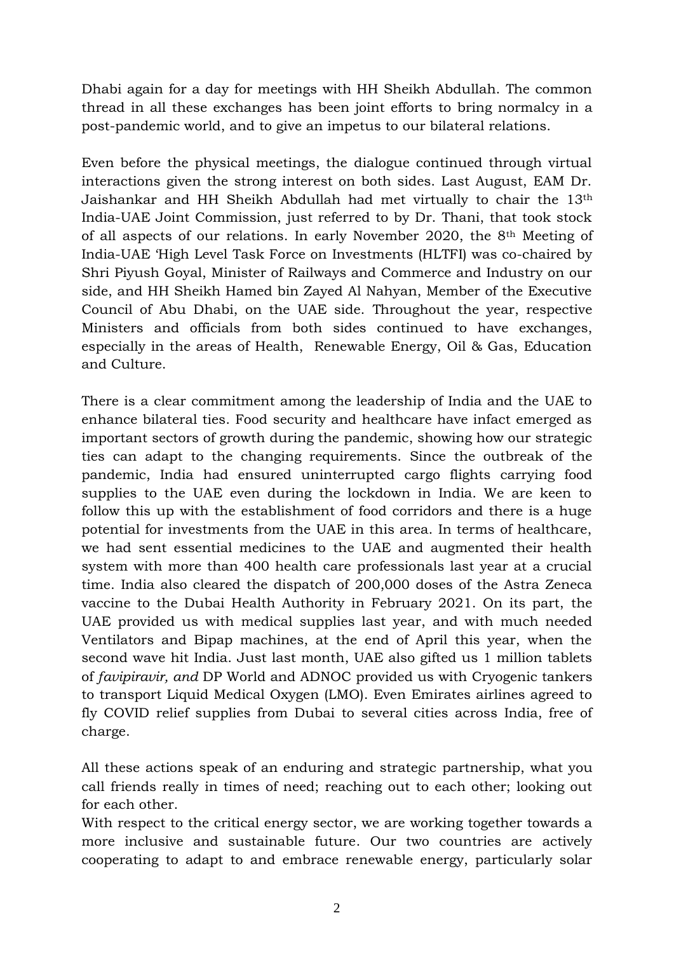Dhabi again for a day for meetings with HH Sheikh Abdullah. The common thread in all these exchanges has been joint efforts to bring normalcy in a post-pandemic world, and to give an impetus to our bilateral relations.

Even before the physical meetings, the dialogue continued through virtual interactions given the strong interest on both sides. Last August, EAM Dr. Jaishankar and HH Sheikh Abdullah had met virtually to chair the 13th India-UAE Joint Commission, just referred to by Dr. Thani, that took stock of all aspects of our relations. In early November 2020, the 8th Meeting of India-UAE 'High Level Task Force on Investments (HLTFI) was co-chaired by Shri Piyush Goyal, Minister of Railways and Commerce and Industry on our side, and HH Sheikh Hamed bin Zayed Al Nahyan, Member of the Executive Council of Abu Dhabi, on the UAE side. Throughout the year, respective Ministers and officials from both sides continued to have exchanges, especially in the areas of Health, Renewable Energy, Oil & Gas, Education and Culture.

There is a clear commitment among the leadership of India and the UAE to enhance bilateral ties. Food security and healthcare have infact emerged as important sectors of growth during the pandemic, showing how our strategic ties can adapt to the changing requirements. Since the outbreak of the pandemic, India had ensured uninterrupted cargo flights carrying food supplies to the UAE even during the lockdown in India. We are keen to follow this up with the establishment of food corridors and there is a huge potential for investments from the UAE in this area. In terms of healthcare, we had sent essential medicines to the UAE and augmented their health system with more than 400 health care professionals last year at a crucial time. India also cleared the dispatch of 200,000 doses of the Astra Zeneca vaccine to the Dubai Health Authority in February 2021. On its part, the UAE provided us with medical supplies last year, and with much needed Ventilators and Bipap machines, at the end of April this year, when the second wave hit India. Just last month, UAE also gifted us 1 million tablets of *favipiravir, and* DP World and ADNOC provided us with Cryogenic tankers to transport Liquid Medical Oxygen (LMO). Even Emirates airlines agreed to fly COVID relief supplies from Dubai to several cities across India, free of charge.

All these actions speak of an enduring and strategic partnership, what you call friends really in times of need; reaching out to each other; looking out for each other.

With respect to the critical energy sector, we are working together towards a more inclusive and sustainable future. Our two countries are actively cooperating to adapt to and embrace renewable energy, particularly solar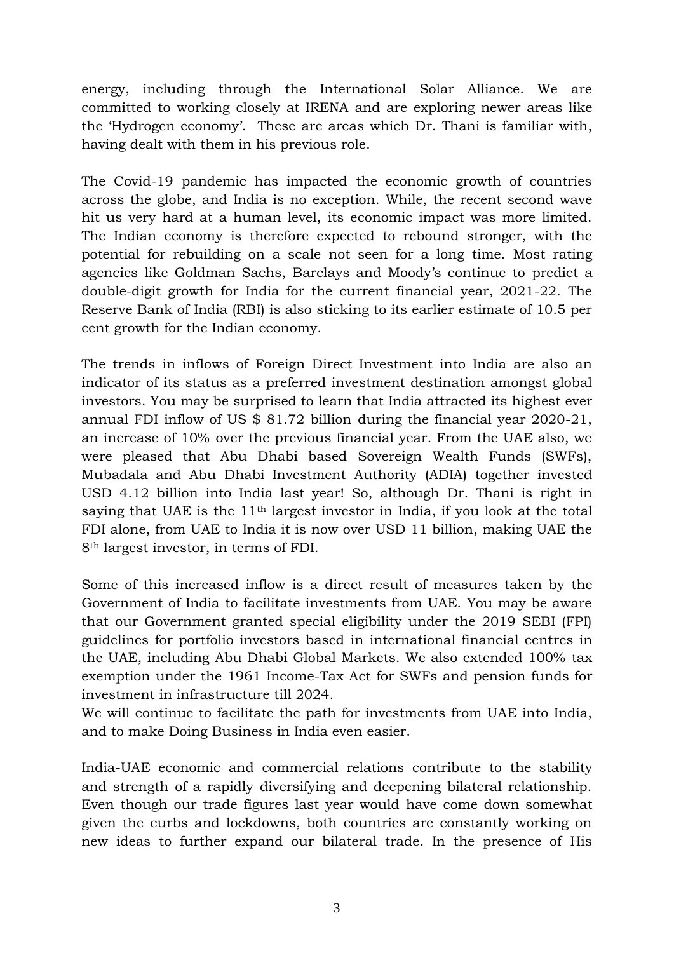energy, including through the International Solar Alliance. We are committed to working closely at IRENA and are exploring newer areas like the 'Hydrogen economy'. These are areas which Dr. Thani is familiar with, having dealt with them in his previous role.

The Covid-19 pandemic has impacted the economic growth of countries across the globe, and India is no exception. While, the recent second wave hit us very hard at a human level, its economic impact was more limited. The Indian economy is therefore expected to rebound stronger, with the potential for rebuilding on a scale not seen for a long time. Most rating agencies like Goldman Sachs, Barclays and Moody's continue to predict a double-digit growth for India for the current financial year, 2021-22. The Reserve Bank of India (RBI) is also sticking to its earlier estimate of 10.5 per cent growth for the Indian economy.

The trends in inflows of Foreign Direct Investment into India are also an indicator of its status as a preferred investment destination amongst global investors. You may be surprised to learn that India attracted its highest ever annual FDI inflow of US \$ 81.72 billion during the financial year 2020-21, an increase of 10% over the previous financial year. From the UAE also, we were pleased that Abu Dhabi based Sovereign Wealth Funds (SWFs), Mubadala and Abu Dhabi Investment Authority (ADIA) together invested USD 4.12 billion into India last year! So, although Dr. Thani is right in saying that UAE is the 11<sup>th</sup> largest investor in India, if you look at the total FDI alone, from UAE to India it is now over USD 11 billion, making UAE the 8th largest investor, in terms of FDI.

Some of this increased inflow is a direct result of measures taken by the Government of India to facilitate investments from UAE. You may be aware that our Government granted special eligibility under the 2019 SEBI (FPI) guidelines for portfolio investors based in international financial centres in the UAE, including Abu Dhabi Global Markets. We also extended 100% tax exemption under the 1961 Income-Tax Act for SWFs and pension funds for investment in infrastructure till 2024.

We will continue to facilitate the path for investments from UAE into India, and to make Doing Business in India even easier.

India-UAE economic and commercial relations contribute to the stability and strength of a rapidly diversifying and deepening bilateral relationship. Even though our trade figures last year would have come down somewhat given the curbs and lockdowns, both countries are constantly working on new ideas to further expand our bilateral trade. In the presence of His